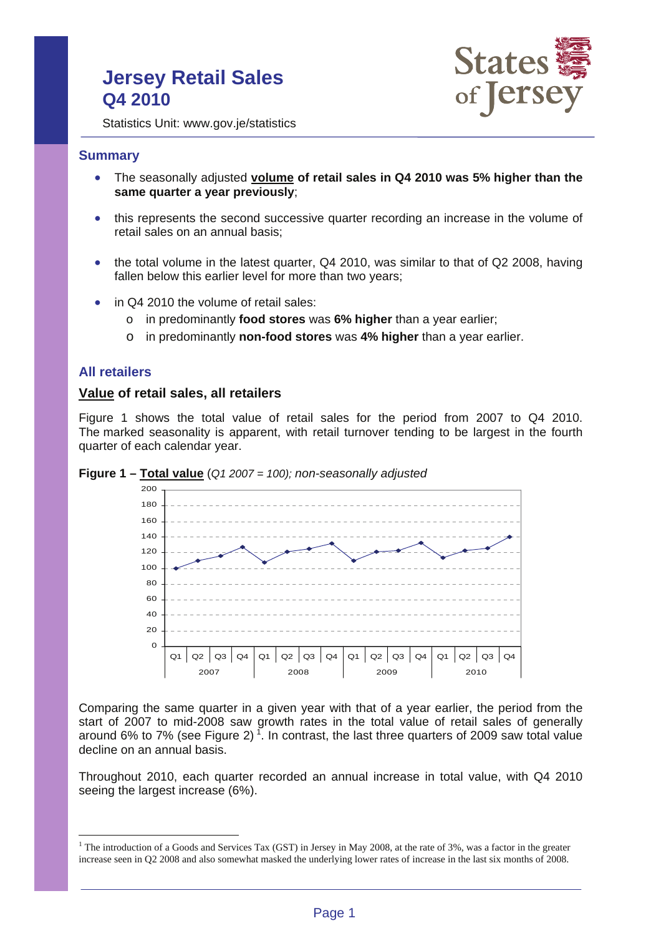# **Jersey Retail Sales Q4 2010**



Statistics Unit: www.gov.je/statistics

### **Summary**

- The seasonally adjusted **volume of retail sales in Q4 2010 was 5% higher than the same quarter a year previously**;
- this represents the second successive quarter recording an increase in the volume of retail sales on an annual basis;
- the total volume in the latest quarter, Q4 2010, was similar to that of Q2 2008, having fallen below this earlier level for more than two years;
- in Q4 2010 the volume of retail sales:
	- o in predominantly **food stores** was **6% higher** than a year earlier;
	- o in predominantly **non-food stores** was **4% higher** than a year earlier.

### **All retailers**

 $\overline{a}$ 

### **Value of retail sales, all retailers**

Figure 1 shows the total value of retail sales for the period from 2007 to Q4 2010. The marked seasonality is apparent, with retail turnover tending to be largest in the fourth quarter of each calendar year.



**Figure 1 – Total value** (*Q1 2007 = 100); non-seasonally adjusted*

Comparing the same quarter in a given year with that of a year earlier, the period from the start of 2007 to mid-2008 saw growth rates in the total value of retail sales of generally around 6% to 7% (see Figure 2)<sup>1</sup>. In contrast, the last three quarters of 2009 saw total value decline on an annual basis.

Throughout 2010, each quarter recorded an annual increase in total value, with Q4 2010 seeing the largest increase (6%).

<sup>&</sup>lt;sup>1</sup> The introduction of a Goods and Services Tax (GST) in Jersey in May 2008, at the rate of 3%, was a factor in the greater increase seen in Q2 2008 and also somewhat masked the underlying lower rates of increase in the last six months of 2008.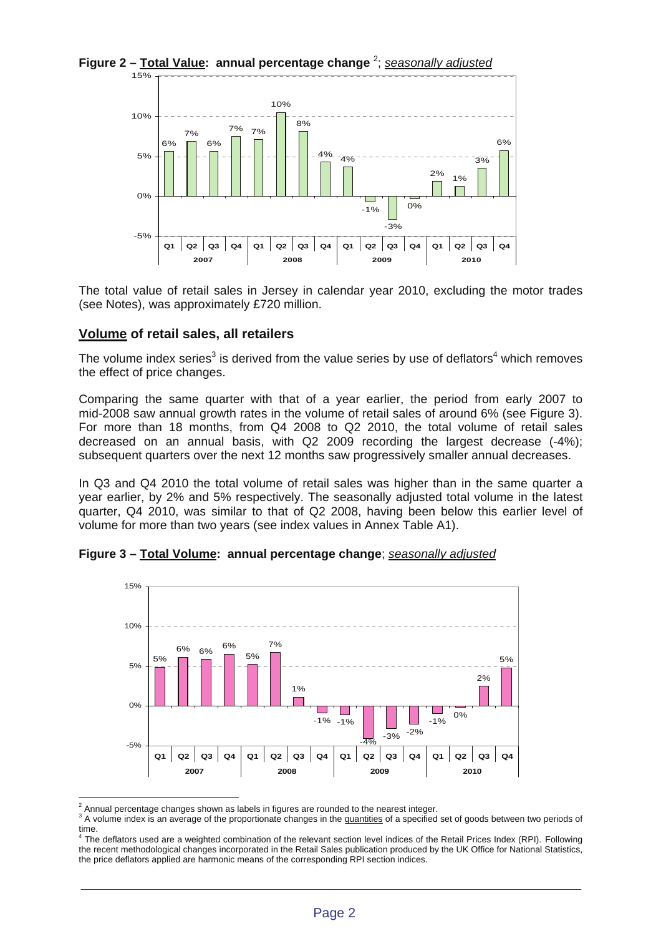**Figure 2 – Total Value: annual percentage change** <sup>2</sup> ; *seasonally adjusted*



The total value of retail sales in Jersey in calendar year 2010, excluding the motor trades (see Notes), was approximately £720 million.

## **Volume of retail sales, all retailers**

The volume index series<sup>3</sup> is derived from the value series by use of deflators<sup>4</sup> which removes the effect of price changes.

Comparing the same quarter with that of a year earlier, the period from early 2007 to mid-2008 saw annual growth rates in the volume of retail sales of around 6% (see Figure 3). For more than 18 months, from Q4 2008 to Q2 2010, the total volume of retail sales decreased on an annual basis, with Q2 2009 recording the largest decrease (-4%); subsequent quarters over the next 12 months saw progressively smaller annual decreases.

In Q3 and Q4 2010 the total volume of retail sales was higher than in the same quarter a year earlier, by 2% and 5% respectively. The seasonally adjusted total volume in the latest quarter, Q4 2010, was similar to that of Q2 2008, having been below this earlier level of volume for more than two years (see index values in Annex Table A1).



**Figure 3 – Total Volume: annual percentage change**; *seasonally adjusted*

 $\overline{a}$  $^2$  Annual percentage changes shown as labels in figures are rounded to the nearest integer.

<sup>&</sup>lt;sup>3</sup> A volume index is an average of the proportionate changes in the quantities of a specified set of goods between two periods of

time.<br><sup>4</sup> The deflators used are a weighted combination of the relevant section level indices of the Retail Prices Index (RPI). Following the recent methodological changes incorporated in the Retail Sales publication produced by the UK Office for National Statistics, the price deflators applied are harmonic means of the corresponding RPI section indices.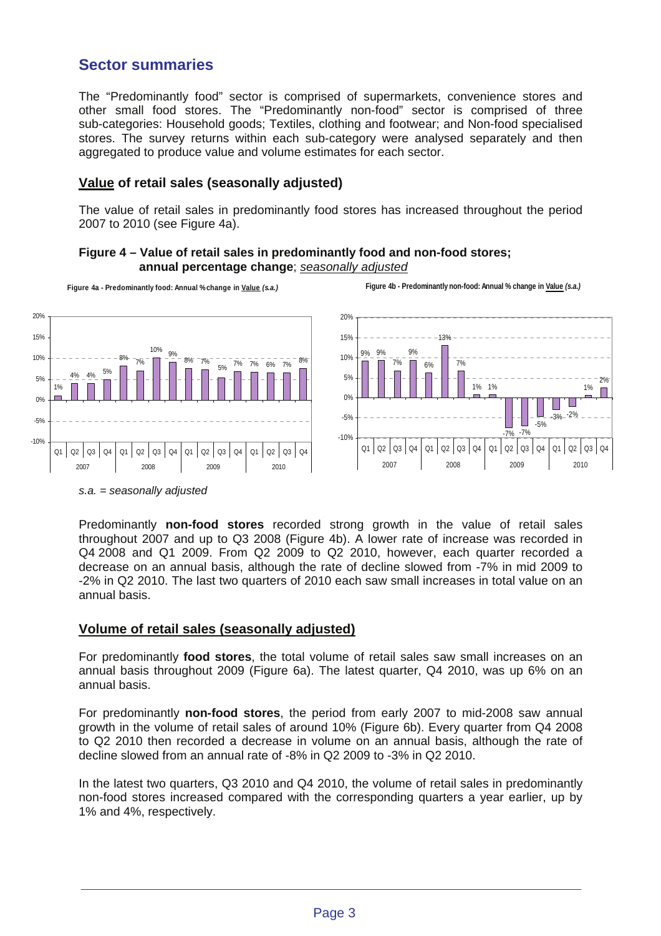# **Sector summaries**

The "Predominantly food" sector is comprised of supermarkets, convenience stores and other small food stores. The "Predominantly non-food" sector is comprised of three sub-categories: Household goods; Textiles, clothing and footwear; and Non-food specialised stores. The survey returns within each sub-category were analysed separately and then aggregated to produce value and volume estimates for each sector.

## **Value of retail sales (seasonally adjusted)**

The value of retail sales in predominantly food stores has increased throughout the period 2007 to 2010 (see Figure 4a).





*s.a. = seasonally adjusted* 

Predominantly **non-food stores** recorded strong growth in the value of retail sales throughout 2007 and up to Q3 2008 (Figure 4b). A lower rate of increase was recorded in Q4 2008 and Q1 2009. From Q2 2009 to Q2 2010, however, each quarter recorded a decrease on an annual basis, although the rate of decline slowed from -7% in mid 2009 to -2% in Q2 2010. The last two quarters of 2010 each saw small increases in total value on an annual basis.

## **Volume of retail sales (seasonally adjusted)**

For predominantly **food stores**, the total volume of retail sales saw small increases on an annual basis throughout 2009 (Figure 6a). The latest quarter, Q4 2010, was up 6% on an annual basis.

For predominantly **non-food stores**, the period from early 2007 to mid-2008 saw annual growth in the volume of retail sales of around 10% (Figure 6b). Every quarter from Q4 2008 to Q2 2010 then recorded a decrease in volume on an annual basis, although the rate of decline slowed from an annual rate of -8% in Q2 2009 to -3% in Q2 2010.

In the latest two quarters, Q3 2010 and Q4 2010, the volume of retail sales in predominantly non-food stores increased compared with the corresponding quarters a year earlier, up by 1% and 4%, respectively.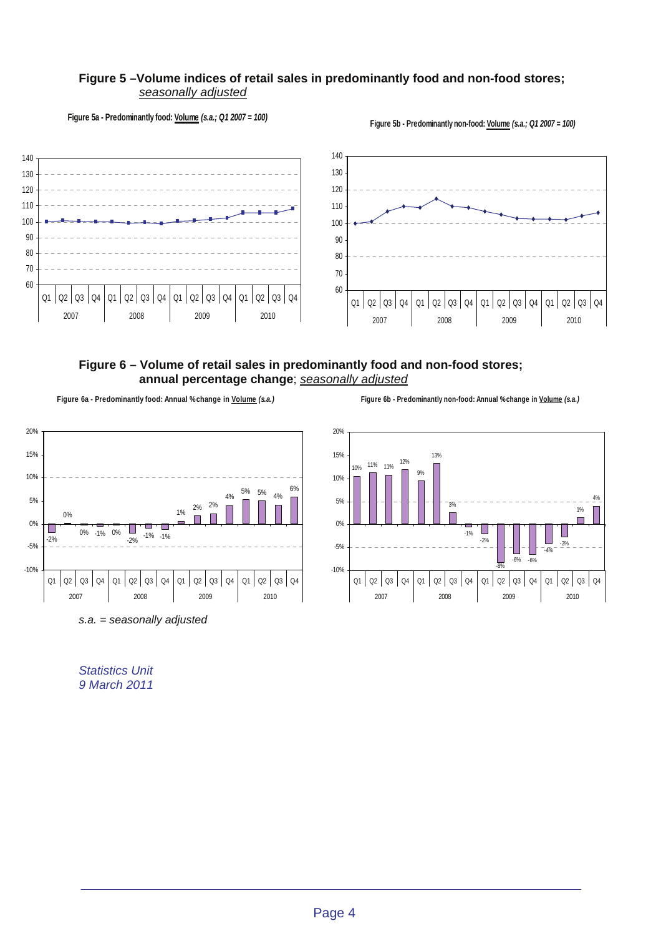#### **Figure 5 –Volume indices of retail sales in predominantly food and non-food stores;** *seasonally adjusted*

**Figure 5a - Predominantly food: Volume** *(s.a.; Q1 2007 = 100)*

**Figure 5b - Predominantly non-food: Volume** *(s.a.; Q1 2007 = 100)*



## **Figure 6 – Volume of retail sales in predominantly food and non-food stores; annual percentage change**; *seasonally adjusted*

**Figure 6a - Predominantly food: Annual % change in Volume** *(s.a.)*



*s.a. = seasonally adjusted* 

*Statistics Unit 9 March 2011*

**Figure 6b - Predominantly non-food: Annual % change in Volume** *(s.a.)*

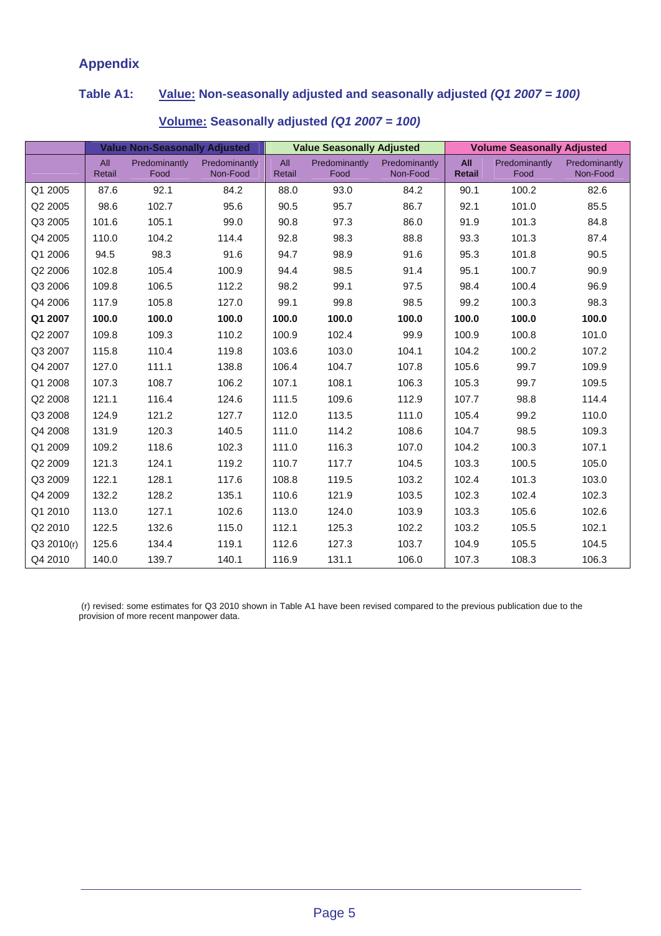# **Appendix**

# **Table A1: Value: Non-seasonally adjusted and seasonally adjusted** *(Q1 2007 = 100)*

|            | <b>Value Non-Seasonally Adjusted</b> |                       |                           | <b>Value Seasonally Adjusted</b> |                       |                           | <b>Volume Seasonally Adjusted</b> |                       |                           |
|------------|--------------------------------------|-----------------------|---------------------------|----------------------------------|-----------------------|---------------------------|-----------------------------------|-----------------------|---------------------------|
|            | All<br>Retail                        | Predominantly<br>Food | Predominantly<br>Non-Food | All<br>Retail                    | Predominantly<br>Food | Predominantly<br>Non-Food | All<br><b>Retail</b>              | Predominantly<br>Food | Predominantly<br>Non-Food |
| Q1 2005    | 87.6                                 | 92.1                  | 84.2                      | 88.0                             | 93.0                  | 84.2                      | 90.1                              | 100.2                 | 82.6                      |
| Q2 2005    | 98.6                                 | 102.7                 | 95.6                      | 90.5                             | 95.7                  | 86.7                      | 92.1                              | 101.0                 | 85.5                      |
| Q3 2005    | 101.6                                | 105.1                 | 99.0                      | 90.8                             | 97.3                  | 86.0                      | 91.9                              | 101.3                 | 84.8                      |
| Q4 2005    | 110.0                                | 104.2                 | 114.4                     | 92.8                             | 98.3                  | 88.8                      | 93.3                              | 101.3                 | 87.4                      |
| Q1 2006    | 94.5                                 | 98.3                  | 91.6                      | 94.7                             | 98.9                  | 91.6                      | 95.3                              | 101.8                 | 90.5                      |
| Q2 2006    | 102.8                                | 105.4                 | 100.9                     | 94.4                             | 98.5                  | 91.4                      | 95.1                              | 100.7                 | 90.9                      |
| Q3 2006    | 109.8                                | 106.5                 | 112.2                     | 98.2                             | 99.1                  | 97.5                      | 98.4                              | 100.4                 | 96.9                      |
| Q4 2006    | 117.9                                | 105.8                 | 127.0                     | 99.1                             | 99.8                  | 98.5                      | 99.2                              | 100.3                 | 98.3                      |
| Q1 2007    | 100.0                                | 100.0                 | 100.0                     | 100.0                            | 100.0                 | 100.0                     | 100.0                             | 100.0                 | 100.0                     |
| Q2 2007    | 109.8                                | 109.3                 | 110.2                     | 100.9                            | 102.4                 | 99.9                      | 100.9                             | 100.8                 | 101.0                     |
| Q3 2007    | 115.8                                | 110.4                 | 119.8                     | 103.6                            | 103.0                 | 104.1                     | 104.2                             | 100.2                 | 107.2                     |
| Q4 2007    | 127.0                                | 111.1                 | 138.8                     | 106.4                            | 104.7                 | 107.8                     | 105.6                             | 99.7                  | 109.9                     |
| Q1 2008    | 107.3                                | 108.7                 | 106.2                     | 107.1                            | 108.1                 | 106.3                     | 105.3                             | 99.7                  | 109.5                     |
| Q2 2008    | 121.1                                | 116.4                 | 124.6                     | 111.5                            | 109.6                 | 112.9                     | 107.7                             | 98.8                  | 114.4                     |
| Q3 2008    | 124.9                                | 121.2                 | 127.7                     | 112.0                            | 113.5                 | 111.0                     | 105.4                             | 99.2                  | 110.0                     |
| Q4 2008    | 131.9                                | 120.3                 | 140.5                     | 111.0                            | 114.2                 | 108.6                     | 104.7                             | 98.5                  | 109.3                     |
| Q1 2009    | 109.2                                | 118.6                 | 102.3                     | 111.0                            | 116.3                 | 107.0                     | 104.2                             | 100.3                 | 107.1                     |
| Q2 2009    | 121.3                                | 124.1                 | 119.2                     | 110.7                            | 117.7                 | 104.5                     | 103.3                             | 100.5                 | 105.0                     |
| Q3 2009    | 122.1                                | 128.1                 | 117.6                     | 108.8                            | 119.5                 | 103.2                     | 102.4                             | 101.3                 | 103.0                     |
| Q4 2009    | 132.2                                | 128.2                 | 135.1                     | 110.6                            | 121.9                 | 103.5                     | 102.3                             | 102.4                 | 102.3                     |
| Q1 2010    | 113.0                                | 127.1                 | 102.6                     | 113.0                            | 124.0                 | 103.9                     | 103.3                             | 105.6                 | 102.6                     |
| Q2 2010    | 122.5                                | 132.6                 | 115.0                     | 112.1                            | 125.3                 | 102.2                     | 103.2                             | 105.5                 | 102.1                     |
| Q3 2010(r) | 125.6                                | 134.4                 | 119.1                     | 112.6                            | 127.3                 | 103.7                     | 104.9                             | 105.5                 | 104.5                     |
| Q4 2010    | 140.0                                | 139.7                 | 140.1                     | 116.9                            | 131.1                 | 106.0                     | 107.3                             | 108.3                 | 106.3                     |

## **Volume: Seasonally adjusted** *(Q1 2007 = 100)*

 (r) revised: some estimates for Q3 2010 shown in Table A1 have been revised compared to the previous publication due to the provision of more recent manpower data.